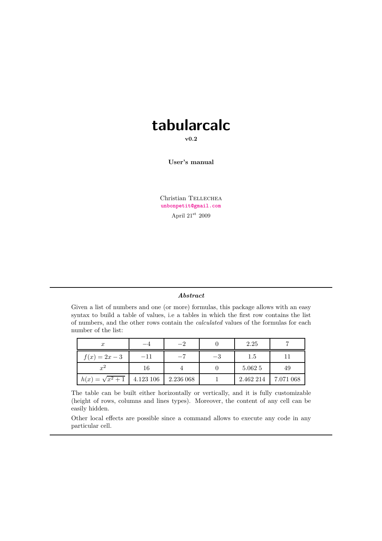# **tabularcalc**

**v0.2**

**User's manual**

Christian TELLECHEA **[unbonpetit@gmail.com](mailto:unbonpetit@gmail.com)** April  $21^{\rm st}$  2009

#### *Abstract*

Given a list of numbers and one (or more) formulas, this package allows with an easy syntax to build a table of values, i.e a tables in which the first row contains the list of numbers, and the other rows contain the *calculated* values of the formulas for each number of the list:

| $\boldsymbol{x}$        |           | $-2$      |    | 2.25      |           |
|-------------------------|-----------|-----------|----|-----------|-----------|
| $f(x) = 2x - 3$         | $-11$     |           | –3 | 1.5       |           |
| $x^2$                   | 16        |           |    | 5.062 5   | 49        |
| $h(x) = \sqrt{x^2 + 1}$ | 4.123 106 | 2.236 068 |    | 2.462 214 | 7.071 068 |

The table can be built either horizontally or vertically, and it is fully customizable (height of rows, columns and lines types). Moreover, the content of any cell can be easily hidden.

Other local effects are possible since a command allows to execute any code in any particular cell.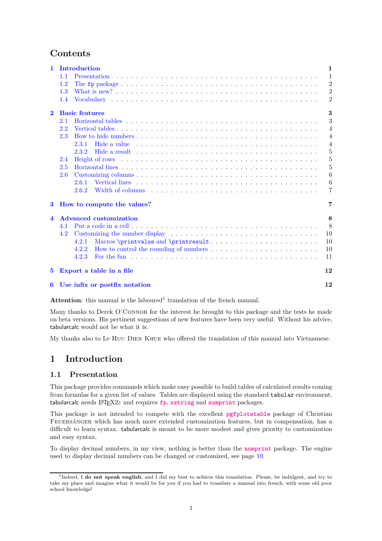# **Contents**

| $\mathbf{1}$            | Introduction                                                                                                                                                                                                                            | $\mathbf{1}$   |
|-------------------------|-----------------------------------------------------------------------------------------------------------------------------------------------------------------------------------------------------------------------------------------|----------------|
|                         | 1.1                                                                                                                                                                                                                                     | $\mathbf{1}$   |
|                         | 1.2                                                                                                                                                                                                                                     | $\overline{2}$ |
|                         | 1.3                                                                                                                                                                                                                                     | $\overline{2}$ |
|                         | 1.4                                                                                                                                                                                                                                     | $\overline{2}$ |
| $\overline{2}$          | <b>Basic features</b>                                                                                                                                                                                                                   | 3              |
|                         | Horizontal tables entering the service of the service of the service of the service of the service of the service of the service of the service of the service of the service of the service of the service of the service of<br>2.1    | 3              |
|                         | 2.2                                                                                                                                                                                                                                     | $\overline{4}$ |
|                         | 2.3<br>How to hide numbers $\ldots$ , $\ldots$ , $\ldots$ , $\ldots$ , $\ldots$ , $\ldots$ , $\ldots$ , $\ldots$ , $\ldots$ , $\ldots$ , $\ldots$ , $\ldots$                                                                            | $\overline{4}$ |
|                         | Hide a value enterprise on the set of the set of the set of the set of the set of the set of the set of the set of the set of the set of the set of the set of the set of the set of the set of the set of the set of the set<br>2.3.1  | $\overline{4}$ |
|                         | 2.3.2                                                                                                                                                                                                                                   | 5              |
|                         | 2.4                                                                                                                                                                                                                                     | 5              |
|                         | 2.5                                                                                                                                                                                                                                     | 5              |
|                         | 2.6                                                                                                                                                                                                                                     | 6              |
|                         | 2.6.1                                                                                                                                                                                                                                   | 6              |
|                         | Width of columns enterprise in the service of the service of the service of the service of the service of the service of the service of the service of the service of the service of the service of the service of the service<br>2.6.2 | $\overline{7}$ |
| 3                       | How to compute the values?                                                                                                                                                                                                              | 7              |
| $\overline{\mathbf{4}}$ | <b>Advanced customization</b>                                                                                                                                                                                                           | 8              |
|                         | 4.1                                                                                                                                                                                                                                     | 8              |
|                         | 4.2                                                                                                                                                                                                                                     | 10             |
|                         | Macros \printvalue and \printresult<br>4.2.1                                                                                                                                                                                            | 10             |
|                         | How to control the rounding of numbers<br>4.2.2                                                                                                                                                                                         | 10             |
|                         | 4.2.3                                                                                                                                                                                                                                   | 11             |
| $\bf{5}$                | Export a table in a file                                                                                                                                                                                                                | 12             |
| 6                       | Use infix or postfix notation                                                                                                                                                                                                           | 12             |
|                         |                                                                                                                                                                                                                                         |                |

Attention: this manual is the laboured<sup>1</sup> translation of the french manual.

Many thanks to Derek O'CONNOR for the interest he brought to this package and the tests he made on beta versions. His pertinent suggestions of new features have been very useful. Without his advice, tabularcalc would not be what it is.

My thanks also to Le Huu Dien Khue who offered the translation of this manual into Vietnamese.

# <span id="page-1-1"></span><span id="page-1-0"></span>**1 Introduction**

# **1.1 Presentation**

This package provides commands which make easy possible to build tables of calculated results coming from formulas for a given list of values. Tables are displayed using the standard tabular environment. tabularcalc needs LATEX2*<sup>ε</sup>* and requires **[fp](http://www.ctan.org/tex-archive/macros/latex/contrib/fp/)**, **[xstring](http://www.ctan.org/tex-archive/macros/latex/contrib/xstring/)** and **[numprint](http://www.ctan.org/tex-archive/macros/latex/contrib/numprint/)** packages.

This package is not intended to compete with the excellent **[pgfplotstable](http://www.ctan.org/tex-archive/graphics/pgf/contrib/pgfplots/)** package of Christian Feuersänger which has much more extended customization features, but in compensation, has a difficult to learn syntax. tabularcalc is meant to be more modest and gives priority to customization and easy syntax.

To display decimal numbers, in my view, nothing is better than the **[numprint](http://www.ctan.org/tex-archive/macros/latex/contrib/numprint/)** package. The engine used to display decimal numbers can be changed or customized, see page [10.](#page-10-1)

<sup>1</sup> Indeed, I **do not speak english**, and I did my best to achieve this translation. Please, be indulgent, and try to take my place and imagine what it would be for you if you had to translate a manual into french, with some old poor school knowledge!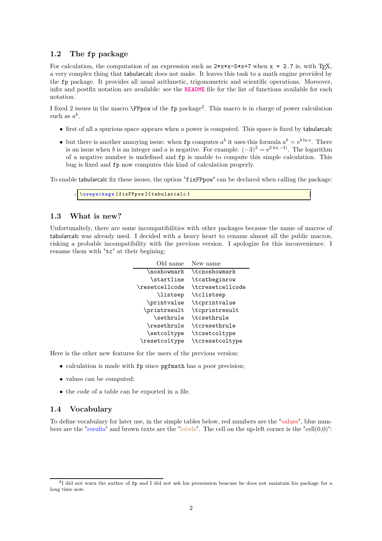## <span id="page-2-0"></span>**1.2 The fp package**

For calculation, the computation of an expression such as  $2***x-5***7$  when  $x = 2.7$  is, with T<sub>E</sub>X, a very complex thing that tabularcalc does not make. It leaves this task to a math engine provided by the fp package. It provides all usual arithmetic, trigonometric and scientific operations. Moreover, infix and postfix notation are available: see the **[README](http://www.ctan.org/get/macros/latex/contrib/fp/README)** file for the list of functions available for each notation.

I fixed 2 issues in the macro **\FPpow** of the fp package<sup>2</sup>. This macro is in charge of power calculation such as  $a^b$ .

- first of all a spurious space appears when a power is computed. This space is fixed by tabularcalc
- but there is another annoying issue: when **fp** computes  $a^b$  it uses this formula  $a^b = e^{b \ln a}$ . There is an issue when *b* is an integer and *a* is negative. For example:  $(-3)^2 = e^{2 \ln(-3)}$ . The logarithm of a negative number is undefined and fp is unable to compute this simple calculation. This bug is fixed and fp now computes this kind of calculation properly.

To enable tabularcalc fix these issues, the option "fixFPpow" can be declared when calling the package:

\usepackage [fixFPpow] { tabularcalc }

# <span id="page-2-1"></span>**1.3 What is new?**

Unfortunaltely, there are some incompatibilities with other packages because the name of macros of tabularcalc was already used. I decided with a heavy heart to rename almost all the public macros, risking a probable incompatibility with the previous version. I apologize for this inconvenience. I rename them with "tc" at their begining:

> Old name New name \noshowmark \tcnoshowmark \startline \tcatbeginrow \resetcellcode \tcresetcellcode \listsep \tclistsep \printvalue \tcprintvalue \printresult \tcprintresult \sethrule \tcsethrule \resethrule \tcresethrule \setcoltype \tcsetcoltype \resetcoltype \tcresetcoltype

Here is the other new features for the users of the previous version:

- calculation is made with fp since pgfmath has a poor precision;
- values can be computed;
- the code of a table can be exported in a file.

#### <span id="page-2-2"></span>**1.4 Vocabulary**

To define vocabulary for later use, in the simple tables below, red numbers are the "values", blue numbers are the "results" and brown texts are the "labels". The cell on the up-left corner is the "cell $(0,0)$ ":

<sup>&</sup>lt;sup>2</sup>I did not warn the author of fp and I did not ask his permission beacuse he does not maintain his package for a long time now.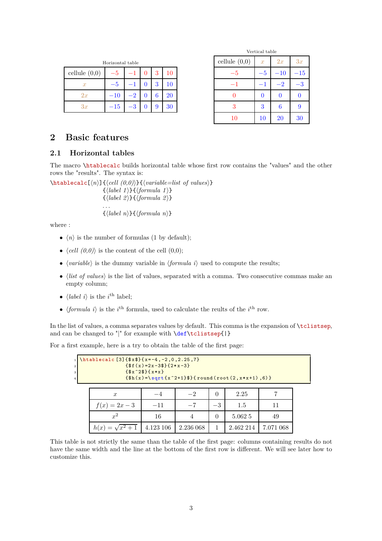| Horizontal table |         |  |  |   |        |
|------------------|---------|--|--|---|--------|
| cellule $(0,0)$  |         |  |  | 3 | 10     |
| $\boldsymbol{x}$ |         |  |  | 3 | $10\,$ |
| 2x               | $-10\,$ |  |  | 6 | $20\,$ |
| 3x               | 15      |  |  | 9 | 30     |

|                 | Vertical table   |       |              |
|-----------------|------------------|-------|--------------|
| cellule $(0,0)$ | $\boldsymbol{x}$ | 2x    | 3x           |
| -5              | -5               | $-10$ | $^{\rm -15}$ |
| -1              | -1               | 2     | 3            |
|                 | 0                |       | 0            |
| 3               | 3                | 6     | 9            |
| 10              | 10               | 20    | 30           |

# <span id="page-3-1"></span><span id="page-3-0"></span>**2 Basic features**

# **2.1 Horizontal tables**

The macro \htablecalc builds horizontal table whose first row contains the "values" and the other rows the "results". The syntax is:

 $\theta$ <sup>l</sup>ktablecalc $\left\{ \left\langle n\right\rangle \right\}$ { $\left\langle \left\langle on\right\rangle \right\}$ }  $\{\langle label \; 1 \rangle\}\{\langle formula \; 1 \rangle\}$  $\{\langle label \ 2\rangle\}\{\langle formula \ 2\rangle\}\$ . . .  $\{\langle label \; n \rangle\}\{\langle formula \; n \rangle\}$ 

where :

- $\langle n \rangle$  is the number of formulas (1 by default);
- $\langle cell (0,0) \rangle$  is the content of the cell  $(0,0)$ ;
- $\langle variable \rangle$  is the dummy variable in  $\langle formula\ i\rangle$  used to compute the results;
- $\bullet$  *(list of values)* is the list of values, separated with a comma. Two consecutive commas make an empty column;
- $\langle label \, i \rangle$  is the  $i^{\text{th}}$  label;
- $\langle formula\ i\rangle$  is the *i*<sup>th</sup> formula, used to calculate the reults of the *i*<sup>th</sup> row.

In the list of values, a comma separates values by default. This comma is the expansion of \tclistsep, and can be changed to "|" for example with  $\def\clap{\iota}tclistsep{|\}$ 

For a first example, here is a try to obtain the table of the first page:

| \htablecalc[3]{ $\$ x $\$ }{x=-4,-2,0,2.25,7}<br>${f*f(x)=2x-3f}{2*x-3}$<br>$\{ $x^2$\}$ { $x*x$ }<br>$\{\$h(x) = \sqrt{sqrt(x^2+1)}\}\$ (round (root (2, x * x + 1), 6) } |           |           |          |           |           |  |  |
|----------------------------------------------------------------------------------------------------------------------------------------------------------------------------|-----------|-----------|----------|-----------|-----------|--|--|
| $\boldsymbol{x}$                                                                                                                                                           |           | $-2$      | $\theta$ | 2.25      |           |  |  |
| $f(x) = 2x - 3$                                                                                                                                                            | $-11$     | $-7$      | $-3$     | 1.5       | 11        |  |  |
| $x^2$                                                                                                                                                                      | 16        |           | 0        | 5.062 5   | 49        |  |  |
|                                                                                                                                                                            | 4.123 106 | 2.236 068 |          | 2.462 214 | 7.071 068 |  |  |

This table is not strictly the same than the table of the first page: columns containing results do not have the same width and the line at the bottom of the first row is different. We will see later how to customize this.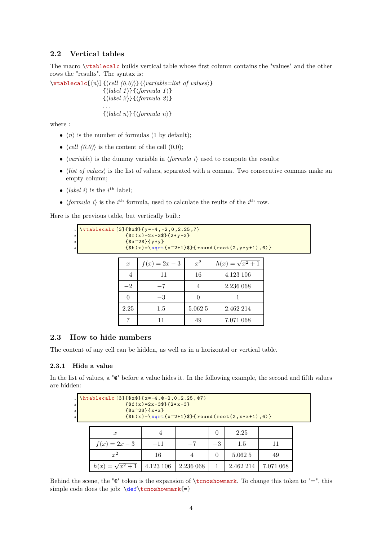# <span id="page-4-0"></span>**2.2 Vertical tables**

The macro \vtablecalc builds vertical table whose first column contains the "values" and the other rows the "results". The syntax is:

 $\{\forall \mathbf{h}\in\mathbb{N}: \mathbb{N}: \mathbb{N}: \mathbb{N}: \mathbb{N}: \mathbb{N}: \mathbb{N}: \mathbb{N}: \mathbb{N}: \mathbb{N}: \mathbb{N}: \mathbb{N}: \mathbb{N}: \mathbb{N}: \mathbb{N}: \mathbb{N}: \mathbb{N}: \mathbb{N}: \mathbb{N}: \mathbb{N}: \mathbb{N}: \mathbb{N}: \mathbb{N}: \mathbb{N}: \mathbb{N}: \mathbb{N}: \mathbb{N}: \mathbb{N}: \mathbb{N}: \mathbb{N}: \mathbb{N}: \mathbb{N}: \mathbb{N}: \mathbb{N}: \mathbb{N}:$  $\{\langle label \; 1 \rangle\}\{\langle formula \; 1 \rangle\}$  $\{\langle label 2\rangle\}\{\langle formula 2\rangle\}$ . . .  $\{\langle label \; n \rangle\}\{\langle formula \; n \rangle\}$ 

where :

- $\langle n \rangle$  is the number of formulas (1 by default);
- $\langle cell (0,0) \rangle$  is the content of the cell  $(0,0);$
- $\langle variable \rangle$  is the dummy variable in  $\langle formula i \rangle$  used to compute the results;
- $\bullet$  *(list of values)* is the list of values, separated with a comma. Two consecutive commas make an empty column;
- $\langle label \, i \rangle$  is the  $i^{\text{th}}$  label;
- $\langle formula\ i\rangle$  is the *i*<sup>th</sup> formula, used to calculate the reults of the *i*<sup>th</sup> row.

Here is the previous table, but vertically built:

```
\{\text{vtablecalc} [\text{3}] {\ x$}{\text{y} = -4, -2, 0, 2.25, 7}{f(f(x)=2x-3f{(2*y-3)}}{3x^23}{ y*y}
                       {\hat{\mathfrak{h}}}(x)=\sqrt{\operatorname{sqrt}^2+1}\{\hat{\mathfrak{h}}}\ (round (root (2, y*y+1), 6)}
                       x f(x) = 2x - 3 x<sup>2</sup>
                                                             2 h(x) = \sqrt{x^2 + 1}
```

|      | $-11$   | 16      | 4.123 106 |
|------|---------|---------|-----------|
| $-2$ | -7      |         | 2.236 068 |
|      | -3      |         |           |
| 2.25 | $1.5\,$ | 5.062 5 | 2.462 214 |
|      | 11      | 49      | 7.071 068 |

# <span id="page-4-1"></span>**2.3 How to hide numbers**

The content of any cell can be hidden, as well as in a horizontal or vertical table.

#### <span id="page-4-2"></span>**2.3.1 Hide a value**

In the list of values, a " $\mathbb{C}^n$  before a value hides it. In the following example, the second and fifth values are hidden:

| \htablecalc[3]{ $\$ x $\$ }{x=-4,0-2,0,2.25,07}<br>${f*f(x)=2x-3f}{2*x-3}$<br>$\{ $x^2$\}$ { $x*x$ }<br>$\{\$h(x) = \sqrt{sqrt(x^2+1)}\}\$ (round (root (2, x * x + 1), 6) } |                  |           |           |          |           |           |  |
|------------------------------------------------------------------------------------------------------------------------------------------------------------------------------|------------------|-----------|-----------|----------|-----------|-----------|--|
|                                                                                                                                                                              | $\boldsymbol{x}$ |           |           | $\theta$ | 2.25      |           |  |
|                                                                                                                                                                              | $f(x) = 2x - 3$  | $-11$     | $-7$      | $-3$     | 1.5       |           |  |
|                                                                                                                                                                              | $x^2$            | 16        |           | $\Omega$ | 5.062 5   | 49        |  |
|                                                                                                                                                                              |                  | 4.123 106 | 2.236 068 |          | 2.462 214 | 7.071 068 |  |

Behind the scene, the " $\mathbb{Q}^*$ " token is the expansion of \tcnoshowmark. To change this token to "=", this simple code does the job:  $\def\cong\def\cong\def}$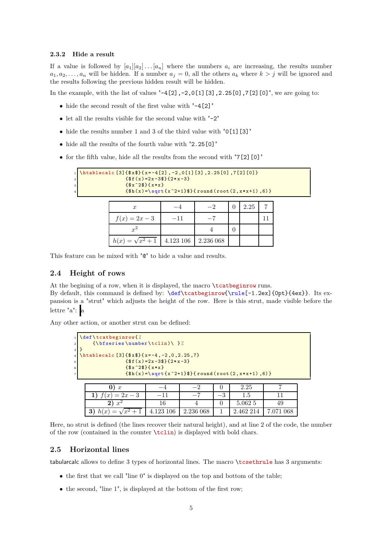#### <span id="page-5-0"></span>**2.3.2 Hide a result**

If a value is followed by  $[a_1][a_2] \ldots [a_n]$  where the numbers  $a_i$  are increasing, the results number  $a_1, a_2, \ldots, a_n$  will be hidden. If a number  $a_j = 0$ , all the others  $a_k$  where  $k > j$  will be ignored and the results following the previous hidden result will be hidden.

In the example, with the list of values "-4[2],-2,0[1][3],2.25[0],7[2][0]", we are going to:

- $\bullet\,$  hide the second result of the first value with  $"$  –4[2]  $"$
- let all the results visible for the second value with "-2"
- $\bullet\,$  hide the results number 1 and 3 of the third value with  $"0\, [1] \, [3]"$
- hide all the results of the fourth value with "2.25[0]"
- for the fifth value, hide all the results from the second with "7[2][0]"

| $\{ $f(x)=2x-3$ \}$ $\{2*x-3\}$ |                                                                   |           |           |          |      |    |  |
|---------------------------------|-------------------------------------------------------------------|-----------|-----------|----------|------|----|--|
|                                 | $\frac{18x^28}{16x^2}$                                            |           |           |          |      |    |  |
|                                 | $\{\$h(x)=\sqrt{sqrt{x^2+1}\}\}$ round (root (2, x * x + 1), 6) } |           |           |          |      |    |  |
|                                 |                                                                   |           |           |          |      |    |  |
|                                 | $\boldsymbol{x}$                                                  |           | $-2$      | $\Omega$ | 2.25 |    |  |
|                                 | $f(x) = 2x - 3$                                                   | $-11$     |           |          |      | 11 |  |
|                                 | $x^2$                                                             |           | 4         | 0        |      |    |  |
|                                 |                                                                   | 4.123 106 | 2.236 068 |          |      |    |  |

<span id="page-5-1"></span>This feature can be mixed with "@" to hide a value and results.

## **2.4 Height of rows**

At the begining of a row, when it is displayed, the macro \tcatbeginrow runs.

By default, this command is defined by: \def\tcatbeginrow{\rule[-1.2ex]{0pt}{4ex}}. Its expansion is a "strut" which adjusts the height of the row. Here is this strut, made visible before the lettre "a": a

Any other action, or another strut can be defined:

| $1$ def \tcatbeginrow { $%$                   |                                   |           |      |                                                                   |           |  |  |  |
|-----------------------------------------------|-----------------------------------|-----------|------|-------------------------------------------------------------------|-----------|--|--|--|
|                                               | $\{\bf bfseries\number\tclip\$ }% |           |      |                                                                   |           |  |  |  |
|                                               |                                   |           |      |                                                                   |           |  |  |  |
| \htablecalc[3]{ $\$ x $\$ }{x=-4,-2,0,2.25,7} |                                   |           |      |                                                                   |           |  |  |  |
|                                               | ${f(f(x)=2x-3}){2*x-3}$           |           |      |                                                                   |           |  |  |  |
| $\{ $x^2$\} \{ x*x \}$                        |                                   |           |      |                                                                   |           |  |  |  |
|                                               |                                   |           |      | $\{\$h(x)=\sqrt{sqrt(x^2+1)}\}\$ (round (root $(2, x*x+1)$ , 6) } |           |  |  |  |
|                                               |                                   |           |      |                                                                   |           |  |  |  |
| $\boldsymbol{x}$                              |                                   |           |      | 2.25                                                              |           |  |  |  |
| 1) $f(x) = 2x - 3$                            | $-11$                             |           | $-3$ | 1.5                                                               |           |  |  |  |
| $x^2$                                         | 16                                |           |      | 5.062 5                                                           | 49        |  |  |  |
|                                               | 4.123 106                         | 2.236 068 |      | 2.462 214                                                         | 7.071 068 |  |  |  |

Here, no strut is defined (the lines recover their natural height), and at line 2 of the code, the number of the row (contained in the counter  $\text{tclin}$ ) is displayed with bold chars.

## <span id="page-5-2"></span>**2.5 Horizontal lines**

tabularcalc allows to define 3 types of horizontal lines. The macro \tcsethrule has 3 arguments:

- the first that we call "line 0" is displayed on the top and bottom of the table;
- the second, "line 1", is displayed at the bottom of the first row;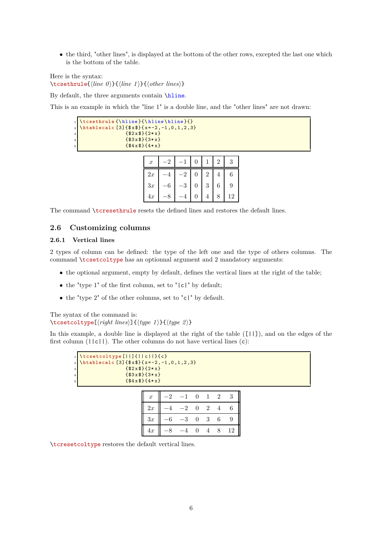• the third, "other lines", is displayed at the bottom of the other rows, excepted the last one which is the bottom of the table.

Here is the syntax: \tcsethrule{\*line 0*\}{\*line 1*\}{\*other lines*\}

By default, the three arguments contain \hline.

This is an example in which the "line 1" is a double line, and the "other lines" are not drawn:

|                    | 1 \tcsethrule {\hline}{\hline \hline}{}<br>2 \htablecalc [3] {\$x\$}{x=-2,-1,0,1,2,3} |
|--------------------|---------------------------------------------------------------------------------------|
| 3                  | $\frac{12x+1}{2x+1}$                                                                  |
| $\overline{\bf 4}$ | ${53x$}$ { $3*x$ }                                                                    |
| $\mathbf{5}$       | ${484x8}$ { $4*x$ }                                                                   |

| $\boldsymbol{x}$ |           |                |   |                |   | 3  |
|------------------|-----------|----------------|---|----------------|---|----|
| 2x               |           | $\overline{2}$ | 0 | $\overline{2}$ | 4 | 6  |
| 3x               | $\cdot 6$ | $-3$           | 0 | 3              | 6 | 9  |
| 4x               |           |                |   |                |   | 12 |

<span id="page-6-0"></span>The command \tcresethrule resets the defined lines and restores the default lines.

# <span id="page-6-1"></span>**2.6 Customizing columns**

#### **2.6.1 Vertical lines**

2 types of column can be defined: the type of the left one and the type of others columns. The command \tcsetcoltype has an optionnal argument and 2 mandatory arguments:

- the optional argument, empty by default, defines the vertical lines at the right of the table;
- the "type  $1$ " of the first column, set to " $|c|$ " by default;
- the "type 2" of the other colunms, set to "c|" by default.

The syntax of the command is:  $\text{tcset}(\text{right lines})$  $\{\text{type 1}\}\{\text{type 2}\}\$ 

In this example, a double line is displayed at the right of the table ([||]), and on the edges of the first column  $(|c||)$ . The other columns do not have vertical lines  $(c)$ :

|                         | 1 \tcsetcoltype[  ]{  c  }{c}<br>2 \htablecalc [3]{\$x\$}{x=-2,-1,0,1,2,3} |
|-------------------------|----------------------------------------------------------------------------|
|                         |                                                                            |
| 3                       |                                                                            |
| $\overline{\mathbf{4}}$ | ${ $3x$} { $4x$}$                                                          |
| 5                       | ${484x8}$ { $4*x$ }                                                        |
|                         |                                                                            |

| $\boldsymbol{x}$ | $\Omega$ |      | $\overline{0}$ |                | $\overline{2}$ | 3  |
|------------------|----------|------|----------------|----------------|----------------|----|
| 2x               |          | $-2$ | $\overline{0}$ | $\overline{2}$ |                | 6  |
| 3x               | $-6$     | -3   | $\overline{0}$ | 3 <sup>3</sup> | 6              | 9  |
| 4x               |          |      | 0              |                |                | 12 |

\tcresetcoltype restores the default vertical lines.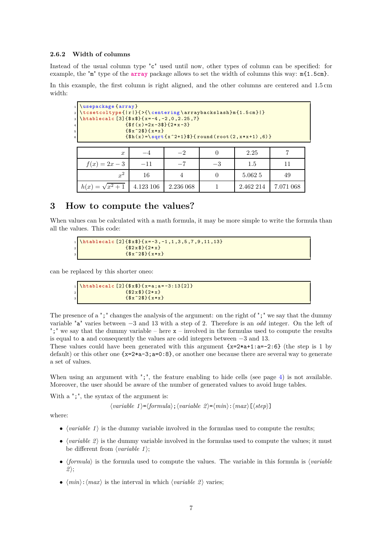#### <span id="page-7-0"></span>**2.6.2 Width of columns**

Instead of the usual column type "c" used until now, other types of column can be specified: for example, the "m" type of the **[array](http://www.ctan.org/tex-archive/graphics/pgf/base/latex/pgf/basiclayer/)** package allows to set the width of columns this way: m{1.5cm}.

In this example, the first column is right aligned, and the other columns are centered and 1.5 cm width:

| 6 | 1 \usepackage {array}<br>2 \tcsetcoltype{ r }{>{\centering \arraybackslash}m{1.5cm} }<br>$\frac{1}{\hat{5}}$ \htablecalc [3] { $\frac{1}{5}$ x \tablecalc [3] { $\frac{1}{5}$ x \tablecalc [3] { $\frac{1}{5}$ x \table -4, -2, 0, 2.25, 7} | $\{f(f(x)) = 2x - 3f\}$ $\{2*x - 3\}$<br>$\frac{18x^28}{16x}$ |           |      | $\{\$h(x)=\sqrt{sqrt(x^2+1)}\}\$ (round (root $(2, x*x+1)$ , 6) } |           |
|---|---------------------------------------------------------------------------------------------------------------------------------------------------------------------------------------------------------------------------------------------|---------------------------------------------------------------|-----------|------|-------------------------------------------------------------------|-----------|
|   | $\boldsymbol{x}$                                                                                                                                                                                                                            |                                                               | $-2$      |      | 2.25                                                              |           |
|   | $f(x) = 2x - 3$                                                                                                                                                                                                                             | $-11$                                                         | $-7$      | $-3$ | 1.5                                                               | 11        |
|   | $x^2$                                                                                                                                                                                                                                       | 16                                                            | 4         |      | 5.062 5                                                           | 49        |
|   |                                                                                                                                                                                                                                             | 4.123 106                                                     | 2.236 068 |      | 2.462 214                                                         | 7.071 068 |

# <span id="page-7-1"></span>**3 How to compute the values?**

When values can be calculated with a math formula, it may be more simple to write the formula than all the values. This code:

```
\hbox{\hbox{htablecalc}} [2]{\hbox{\hbox{xx}} { x=-3, -1, 1, 3, 5, 7, 9, 11, 13}
                     { $2x$ }{2+ x}\{ $x^2$\}
```
can be replaced by this shorter oneo:

\htablecalc [2]{\$x\$}{ x=a; a=-3:13[2] }  ${ $2x$} { $2*x}$  ${ $x^2$3} { x*x}$ 

The presence of a ";" changes the analysis of the argument: on the right of ";" we say that the dummy variable "a" varies between −3 and 13 with a step of 2. Therefore is an *odd* integer. On the left of ";" we say that the dummy variable – here  $x -$  involved in the formulas used to compute the results is equal to a and consequently the values are odd integers between −3 and 13.

These values could have been generated with this argument  $\{x=2*a+1:a=-2:6\}$  (the step is 1 by default) or this other one  $\{x=2*a-3; a=0.8\}$ , or another one because there are several way to generate a set of values.

When using an argument with ";", the feature enabling to hide cells (see page [4\)](#page-4-1) is not available. Moreover, the user should be aware of the number of generated values to avoid huge tables.

With a ";", the syntax of the argument is:

 $\langle variable\ 1\rangle = \langle formula\rangle$ ;  $\langle variable\ 2\rangle = \langle min\rangle$ :  $\langle max\rangle$  [ $\langle step\rangle$ ]

where:

- $\langle variable \, 1 \rangle$  is the dummy variable involved in the formulas used to compute the results;
- $\langle variable 2 \rangle$  is the dummy variable involved in the formulas used to compute the values; it must be different from  $\langle variable 1 \rangle$ ;
- $\langle formula \rangle$  is the formula used to compute the values. The variable in this formula is  $\langle variable \rangle$  $2$ :
- $\langle min \rangle$ :  $\langle max \rangle$  is the interval in which  $\langle variable 2 \rangle$  varies;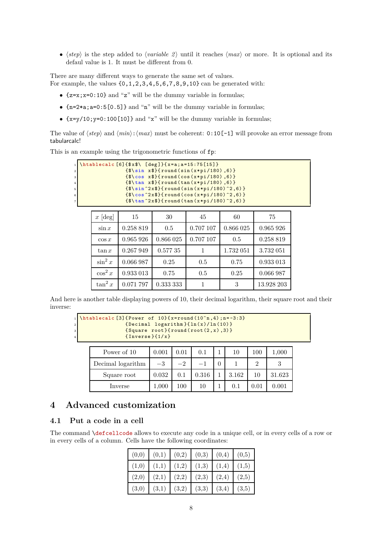•  $\langle \text{step} \rangle$  is the step added to  $\langle \text{variable } 2 \rangle$  until it reaches  $\langle \text{max} \rangle$  or more. It is optional and its defaul value is 1. It must be different from 0.

There are many different ways to generate the same set of values. For example, the values  $\{0, 1, 2, 3, 4, 5, 6, 7, 8, 9, 10\}$  can be generated with:

- ${z=x;x=0:10}$  and "z" will be the dummy variable in formulas;
- {n=2\*a;a=0:5[0.5]} and "n" will be the dummy variable in formulas;
- $\{x=y/10; y=0:100[10]\}$  and "x" will be the dummy variable in formulas;

The value of  $\langle step \rangle$  and  $\langle min \rangle$ :  $\langle max \rangle$  must be coherent: 0:10[-1] will provoke an error message from tabularcalc!

This is an example using the trigonometric functions of fp:

|                | 1 \htablecalc $[6]$ { $\$ x $\$ \ [deg] } { x=a; a=15:75 [15] }     |
|----------------|---------------------------------------------------------------------|
| 2 <sup>1</sup> | ${\$ \sin x$ }{ \text{round}(\sin(x*pi/180), 6) }$                  |
| 3 <sup>1</sup> | $\{\$\cos x$\}$ {round(cos(x*pi/180),6)}                            |
| 4 <sup>1</sup> | $\{\$\tau$)$ tan x\$}{round(tan(x*pi/180),6)}                       |
| 5 <sup>1</sup> | $\{\$\sin^22x\}\$ { round (sin (x*pi/180) $2,6$ ) }                 |
| 6 <sup>1</sup> | $\{\$\cos^2 x \$\}$ (round (cos (x*pi/180) ^2,6) }                  |
| 7 <sup>1</sup> | ${\$ \tan^2 2x \$ } ${\tau \text{ound} (\tan(x * pi / 180) ^2, 6)}$ |

| $x \,[\text{deg}]$ | 15        | 30        | 45        | 60        | 75         |
|--------------------|-----------|-----------|-----------|-----------|------------|
| $\sin x$           | 0.258 819 | 0.5       | 0.707 107 | 0.866 025 | 0.965 926  |
| $\cos x$           | 0.965 926 | 0.866 025 | 0.707 107 | 0.5       | 0.258 819  |
| $\tan x$           | 0.267 949 | 0.57735   |           | 1.732 051 | 3.732 051  |
| $\sin^2 x$         | 0.066 987 | 0.25      | 0.5       | 0.75      | 0.933 013  |
| $\cos^2 x$         | 0.933 013 | 0.75      | 0.5       | 0.25      | 0.066 987  |
| $\tan^2 x$         | 0.071 797 | 0.333 333 |           | 3         | 13.928 203 |

And here is another table displaying powers of 10, their decimal logarithm, their square root and their inverse:

```
\hbartablecalc [3]{ Power of 10} { x=round (10^n, 4); n= -3:3}
                {Decimal logarithm}{<math>ln(x)/ln(10)}</math>\{Square root\}{round(root(2,x),3)}
                {Inverse }{1/x}
```

| Power of 10       | 0.001     | $0.01\,$ | 0.1   | 10    | 100        | 1,000  |
|-------------------|-----------|----------|-------|-------|------------|--------|
| Decimal logarithm | $-3$      | $-2$     |       |       |            |        |
| Square root       | 0.032     | 0.1      | 0.316 | 3.162 |            | 31.623 |
| Inverse           | $1{,}000$ | $100\,$  | 10    |       | $\rm 0.01$ | 0.001  |

# <span id="page-8-0"></span>**4 Advanced customization**

# <span id="page-8-1"></span>**4.1 Put a code in a cell**

The command \defcellcode allows to execute any code in a unique cell, or in every cells of a row or in every cells of a column. Cells have the following coordinates:

|  | $(0,0)$ $(0,1)$ $(0,2)$ $(0,3)$ $(0,4)$ $(0,5)$ |  |  |
|--|-------------------------------------------------|--|--|
|  | $(1,0)$ $(1,1)$ $(1,2)$ $(1,3)$ $(1,4)$ $(1,5)$ |  |  |
|  | $(2,0)$ $(2,1)$ $(2,2)$ $(2,3)$ $(2,4)$ $(2,5)$ |  |  |
|  | $(3,0)$ $(3,1)$ $(3,2)$ $(3,3)$ $(3,4)$ $(3,5)$ |  |  |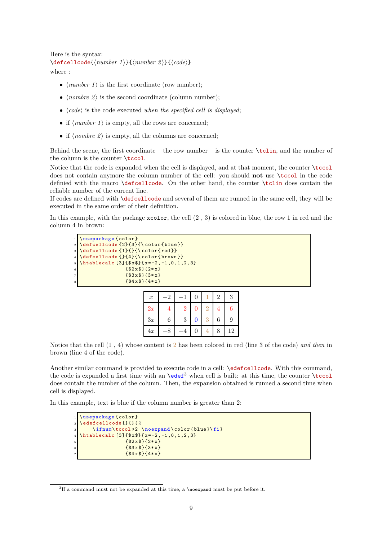```
Here is the syntax:
\{defcellcode{\minber 1}\}{\number 2}}{\code}}
where :
```
•  $\langle number 1 \rangle$  is the first coordinate (row number);

- $\langle \textit{nombre } 2 \rangle$  is the second coordinate (column number);
- $\bullet$   $\langle code \rangle$  is the code executed *when the specified cell is displayed*;
- if  $\langle number 1 \rangle$  is empty, all the rows are concerned;
- if  $\langle \textit{nombre 2} \rangle$  is empty, all the columns are concerned;

Behind the scene, the first coordinate – the row number – is the counter  $\tilde{\tilde{\theta}}$ , and the number of the column is the counter  $\text{tccol.}$ 

Notice that the code is expanded when the cell is displayed, and at that moment, the counter \tccol does not contain anymore the column number of the cell: you should **not** use \tccol in the code definied with the macro \defcellcode. On the other hand, the counter \tclin does contain the reliable number of the current line.

If codes are defined with \defcellcode and several of them are runned in the same cell, they will be executed in the same order of their definition.

In this example, with the package  $xcolor$ , the cell  $(2, 3)$  is colored in blue, the row 1 in red and the column 4 in brown:

|                | 1 \usepackage {color}                                     |
|----------------|-----------------------------------------------------------|
|                | $\frac{1}{2} \delta$ \defcellcode {2}{3}{\color{blue}}    |
|                | s \defcellcode {1}{}{\color{red}}                         |
|                | 4 \defcellcode {}{4}{\color{brown}}                       |
|                | $5$ \htablecalc [3] { $\frac{x^2}{2}$ -2, -1, 0, 1, 2, 3} |
| $6\phantom{1}$ | ${52x$}$ { $2*x$ }                                        |
| $\overline{7}$ | ${53x$}$ { $3*x$ }                                        |
| 8              | ${484x8}$ { $4*x$ }                                       |
|                |                                                           |

| $\boldsymbol{x}$ | $\mathcal{L}$ |   | 0 |    | 2 | 3  |
|------------------|---------------|---|---|----|---|----|
| 2x               |               | 2 | U | ٠. |   | 6  |
| 3x               | 6             | 3 | O |    | 6 | 9  |
| 4x               |               |   | U |    | 8 | 12 |

Notice that the cell (1 , 4) whose content is 2 has been colored in red (line 3 of the code) *and then* in brown (line 4 of the code).

Another similar command is provided to execute code in a cell: \edefcellcode. With this command, the code is expanded a first time with an  $\text{def}^3$  when cell is built: at this time, the counter  $\text{tccol}$ does contain the number of the column. Then, the expansion obtained is runned a second time when cell is displayed.

In this example, text is blue if the column number is greater than 2:

```
\usepackage {color}
2 \ edefcellcode {}{}{ %
    \ifnum\tccol>2\noexpand\color{blue}\fi}
\hbox{\hbox{htablecalc}} [3]{$x$}{x=-2,-1,0,1,2,3}
                 5 {$2 x$}{2* x}
                 6 {$3 x$}{3* x}
                 { $4x$} {{ }{4*x}}
```
<sup>&</sup>lt;sup>3</sup>If a command must not be expanded at this time, a **\noexpand** must be put before it.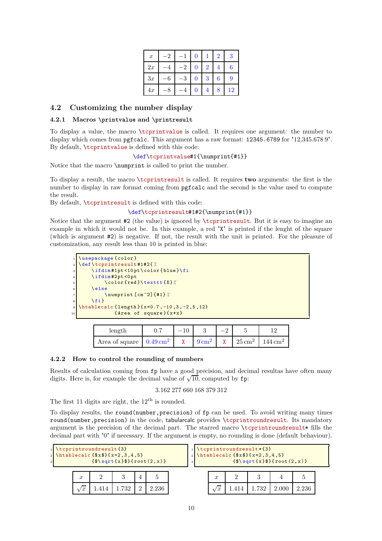| $\boldsymbol{x}$ | 2 |                | 0 |                | 2 | 3  |
|------------------|---|----------------|---|----------------|---|----|
| 2x               |   | $\overline{2}$ | 0 | $\overline{2}$ |   | 6  |
| 3x               | 6 | 3              | 0 | 3              | 6 | 9  |
| 4x               |   |                | O | 4              | 8 | 12 |

# <span id="page-10-1"></span><span id="page-10-0"></span>**4.2 Customizing the number display**

#### **4.2.1 Macros \printvalue and \printresult**

To display a value, the macro \tcprintvalue is called. It requires one argument: the number to display which comes from pgfcalc. This argument has a raw format: 12345.6789 for "12,345.678 9". By default, \tcprintvalue is defined with this code:

#### \def\tcprintvalue#1{\numprint{#1}}

Notice that the macro \numprint is called to print the number.

To display a result, the macro \tcprintresult is called. It requires **two** arguments: the first is the number to display in raw format coming from pgfcalc and the second is the value used to compute the result.

By default, \tcprintresult is defined with this code:

#### \def\tcprintresult#1#2{\numprint{#1}}

Notice that the argument #2 (the value) is ignored by \tcprintresult. But it is easy to imagine an example in which it would not be. In this example, a red "X" is printed if the lenght of the square (which is argument #2) is negative. If not, the result with the unit is printed. For the pleasure of customization, any result less than 10 is printed in blue:

```
\usepackage {color}
2 \def \ tcprintresult #1#2{ %
    \ifdim#1pt<10pt\color{blue}\fi
    \intifdim#2pt <0pt
         5 \ color {red }\ texttt {X}%
    \else
          7 \ numprint [cm ^2]{#1} %
    \{f_i\}\hbox{\hbox{htablecalc}} {length }{x=0.7, -10.3, -2.5, 12}
             \{Area of square\}\{x*x\}
```

| length                             |  |                 |              |                        |                       |
|------------------------------------|--|-----------------|--------------|------------------------|-----------------------|
| Area of square $0.49 \text{ cm}^2$ |  | $9\,{\rm cm}^2$ | $\mathbf{x}$ | $125 \text{ cm}^2 + 1$ | $144 \,\mathrm{cm}^2$ |

#### <span id="page-10-2"></span>**4.2.2 How to control the rounding of numbers**

Results of calculation coming from fp have a good precision, and decimal resultas have often many digits. Here is, for example the decimal value of  $\sqrt{10}$ , computed by fp:

## 3.162 277 660 168 379 312

The first 11 digits are right, the  $12<sup>th</sup>$  is rounded.

To display results, the round(number,precision) of fp can be used. To avoid writing many times round(number, precision) in the code, tabularcalc provides \tcprintroundresult. Its mandatory argument is the precision of the decimal part. The starred macro \tcprintroundresult\* fills the decimal part with "0" if necessary. If the argument is empty, no rounding is done (default behaviour).

| $\overline{\mathbf{3}}$ |                  | $\frac{1}{\text{toprintroundresult}}$<br>2 \htablecalc ${$x$}$ { $x=2,3,4,5$ } | ${\$ \sqrt{sqrt{x}\}} {\} \$ (root $(2, x)$ ) |          |       | 3 |                  | \tcprintroundresult*{3} | $\{\$\sqrt{s}]\$ = $\{\sqrt{x}\}\$ { $\text{root}(2, x)$ } |       |  |
|-------------------------|------------------|--------------------------------------------------------------------------------|-----------------------------------------------|----------|-------|---|------------------|-------------------------|------------------------------------------------------------|-------|--|
|                         | $\boldsymbol{x}$ |                                                                                |                                               |          |       |   | $\boldsymbol{x}$ |                         |                                                            |       |  |
|                         |                  |                                                                                |                                               | $\Omega$ | 2.236 |   | w                |                         |                                                            | 2.236 |  |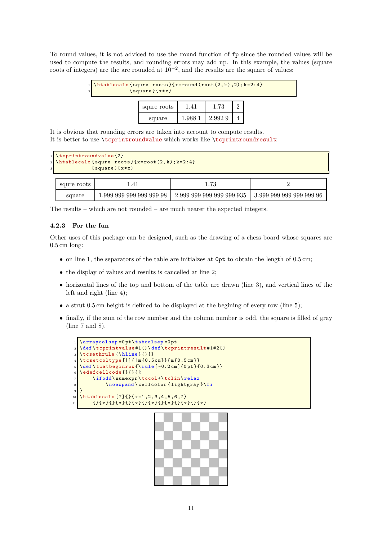To round values, it is not adviced to use the round function of fp since the rounded values will be used to compute the results, and rounding errors may add up. In this example, the values (square roots of integers) are the are rounded at  $10^{-2}$ , and the results are the square of values:

| $\overline{2}$ | 1 \htablecalc {squre roots} { $x=round(root(2, k), 2)$ ; $k=2:4$ }<br>${sqrt}$ |        |        |  |
|----------------|--------------------------------------------------------------------------------|--------|--------|--|
|                | squre roots                                                                    | 1.41   | 1.73   |  |
|                | square                                                                         | 1.9881 | 2.9929 |  |

It is obvious that rounding errors are taken into account to compute results. It is better to use \tcprintroundvalue which works like \tcprintroundresult:

```
\text{tcprintroundvalue <math display="inline">\{2\}</math>
\hbox{\hbox{htablecalc}} {squre roots}{x=root(2,k);k=2:4}
                    {s<sub>quare</sub>} {x * x}
```

| squre roots |                         | 79                        |                          |  |  |
|-------------|-------------------------|---------------------------|--------------------------|--|--|
| square      | .999 999 999 999 999 98 | 2.999 999 999 999 999 935 | 3.999 999 999 999 999 96 |  |  |

The results – which are not rounded – are much nearer the expected integers.

#### <span id="page-11-0"></span>**4.2.3 For the fun**

Other uses of this package can be designed, such as the drawing of a chess board whose squares are 0.5 cm long:

- on line 1, the separators of the table are initialzes at  $0pt$  to obtain the length of 0.5 cm;
- the display of values and results is cancelled at line 2;
- horizontal lines of the top and bottom of the table are drawn (line 3), and vertical lines of the left and right (line 4);
- a strut 0.5 cm height is defined to be displayed at the begining of every row (line 5);
- finally, if the sum of the row number and the column number is odd, the square is filled of gray (line 7 and 8).

```
\arraycolsep = 0 pt \tabularlinespace{10pt}tabcolsep = 0 pt \tabularlinespace{10pt}tabcolsep = 0 pt \tabularlinespace{10pt}tabcolsep = 0 pt \tabularlinespace{10pt}tabcolsep = 0 pt \tabularlinespace{10pt}tabcolsep = 0 pt \tabularlinespace{10pt}tabcolsep = 0 pt \tabularlinespace{10pt}tabcolsep = 0 pt \tabularlinespace{10pt}tabcolsep = 0 pt \tabularlinespace{10pt}tabcolsep = 0 pt \tabularlinespace{10pt}tabcolsep = 0 pt \tabularlinespace{10pt}tabcolsep = 0 pt \tabularlinespace{10pt}t\def\tcprintvalue#1{}\def\tcprintresult#1#2{}
      \text{Value}{}4 \ tcsetcoltype [|]{| m {0.5 cm }}{ m{0.5 cm }}
      \label{thm:main} $$\def \tcatbegin row{\rule{0.2em}{0pt}\label{0.3cm} }\text{Castbegin} \end{array} $$6 \ edefcellcode {}{}{ %
                    \ifodd\numexpr\tccol+\tclin\relax
                                 \noexpand \cellcolor { lightgray } \fi
      9 }
10 \htablecalc [7] { \{x=1, 2, 3, 4, 5, 6, 7\}\begin{array}{c|c} \n 11 & \text{if } x \in \{1, 2, 3, 4\} \cup \{1, 3, 4\} \cup \{1, 3, 4\} \cup \{1, 3, 4\} \cup \{1, 3, 4\} \cup \{1, 3, 4\} \cup \{1, 3, 4\} \cup \{1, 3, 4\} \cup \{1, 3, 4\} \cup \{1, 3, 4\} \cup \{1, 3, 4\} \cup \{1, 3, 4\} \cup \{1, 3, 4\} \cup \{1, 3, 4\} \cup \{1, 3, 4\} \
```
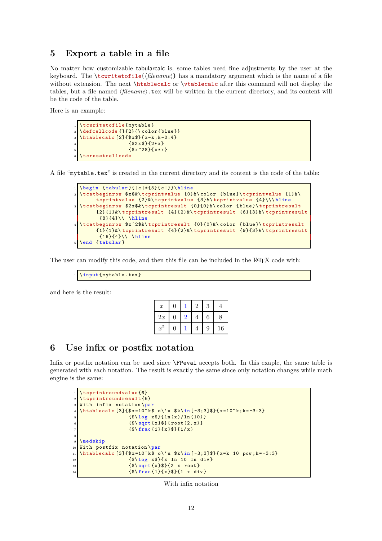# <span id="page-12-0"></span>**5 Export a table in a file**

No matter how customizable tabularcalc is, some tables need fine adjustments by the user at the keyboard. The \tcwritetofile{*{filename}*} has a mandatory argument which is the name of a file without extension. The next \htablecalc or \vtablecalc after this command will not display the tables, but a file named *(filename*).tex will be written in the current directory, and its content will be the code of the table.

Here is an example:

```
\tcwritetofile {mytable }
\left\{ \left( \frac{1}{2} \right) \right\}\hbox{\tt \char'4th} \htablecalc [2] \{\$\texttt{x$\ddot{*}$}\} { x=k ; k=0 : 4 }
                       { $2x$} {2*x}
                       {\frac{x^2}{3}}tcresetcellcode
```
A file "mytable.tex" is created in the current directory and its content is the code of the table:

```
\begin{array}{ c} \begin{array}{c} \text{tabular} \end{array} \end{array}2 \ tcatbeginrow $x$&\ tcprintvalue {0}&\ color { blue }\ tcprintvalue {1}&\
     tcprintvalue {2}&\ tcprintvalue {3}&\ tcprintvalue {4}\\\ hline
\tcatbeginrow $2x$&\tcprintresult {0}{0}&\color {blue}\tcprintresult
     {2}{1}&\ tcprintresult {4}{2}&\ tcprintresult {6}{3}&\ tcprintresult
      \{8\}\{4\}\ \ \ hline
tcatbeginrow $x^2$&\tcprintresult {0}{0}&\color {blue}\tcprintresult
     {1}{1}&\ tcprintresult {4}{2}&\ tcprintresult {9}{3}&\ tcprintresult
      {16}{4}\\ \ \ \ \hbox{hline}\end {tabular}
```
The user can modify this code, and then this file can be included in the LATEX code with:

```
\input {mytable.tex}
```
and here is the result:

| $\boldsymbol{x}$ | $\boldsymbol{0}$ |   | റ | 3 |    |
|------------------|------------------|---|---|---|----|
| 2x               | $\overline{0}$   | 2 |   | 6 | 8  |
| $x^-$            | $\overline{0}$   |   |   | 9 | 16 |

# <span id="page-12-1"></span>**6 Use infix or postfix notation**

Infix or postfix notation can be used since **\FPeval** accepts both. In this exaple, the same table is generated with each notation. The result is exactly the same since only notation changes while math engine is the same:

```
\setminustcprintroundvalue {6}
  \tcprintroundresult {6}
  With infix notation \par
  \htablecalc [3]{$x=10^k$ o\'u $k\in [-3;3]$}{ x=10^k; k= -3:3}
                     {\frac{\{\$\{10 g \ x$\} {\ln(x) / \ln(10)}\}{\$ \sqrt{sqrt(x)}$ }{{\f4\frac{1}{x}}8
  \nImedskip10 With postfix notation \par
11 \htablecalc [3] { x=10^k$ o\'u $k\in [-3;3] $} { x=k 10 pow; k=-3:3}
12 {\$ \log x$}{x \ln 10 \ln \text{div}}13 \left\{ \frac{\$ \sqrt{3}t\{1\}\}\{2 \ x \ root\}}14 \{\$\frac{1}{2}\} {\{\frac{1}{x}\} {\{\frac{1}{x}\} {\{\frac{1}{x}\} {1 x div}
```
With infix notation